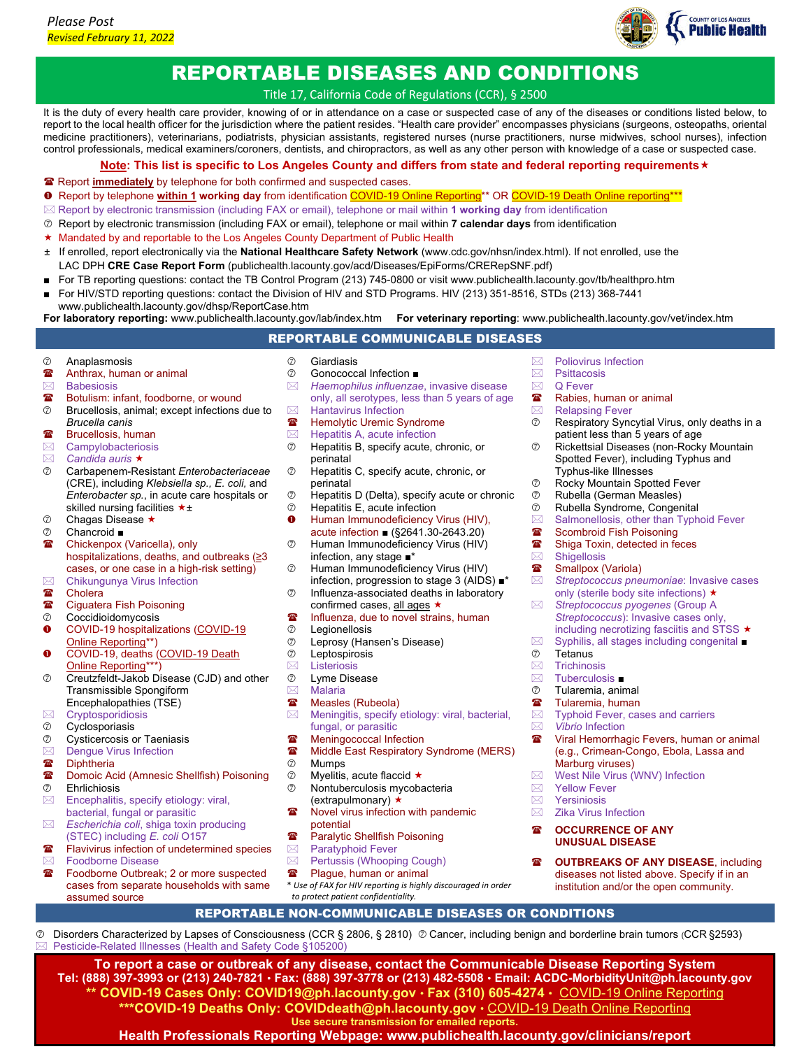

## REPORTABLE DISEASES AND CONDITIONS

Title 17, California Code of Regulations (CCR), § 2500

It is the duty of every health care provider, knowing of or in attendance on a case or suspected case of any of the diseases or conditions listed below, to report to the local health officer for the jurisdiction where the patient resides. "Health care provider" encompasses physicians (surgeons, osteopaths, oriental medicine practitioners), veterinarians, podiatrists, physician assistants, registered nurses (nurse practitioners, nurse midwives, school nurses), infection control professionals, medical examiners/coroners, dentists, and chiropractors, as well as any other person with knowledge of a case or suspected case.

**Note: This list is specific to Los Angeles County and differs from state and federal reporting requirements**

- Report **immediately** by telephone for both confirmed and suspected cases.
- Report by telephone **within 1 working day** from identificatio[n COVID-19 Online Reporting\\*](https://ladph.workflowcloud.com/forms/91840544-1198-4c2b-9625-d83d8413b211)\* OR [COVID-19 Death Online reporting\\*](https://ladph.workflowcloud.com/forms/33710d08-db42-45a7-b90c-6aa2028eb79b)\*\*
- Report by electronic transmission (including FAX or email), telephone or mail within **1 working day** from identification
- Report by electronic transmission (including FAX or email), telephone or mail within **7 calendar days** from identification
- ★ Mandated by and reportable to the Los Angeles County Department of Public Health
- ± If enrolled, report electronically via the **National Healthcare Safety Network** (www.cdc.gov/nhsn/index.html). If not enrolled, use the LAC DPH **CRE Case Report Form** (publichealth.lacounty.gov/acd/Diseases/EpiForms/CRERepSNF.pdf)
- For TB reporting questions: contact the TB Control Program (213) 745-0800 or visi[t www.publichealth.lacounty.gov/tb/healthpro.htm](http://www.publichealth.lacounty.gov/tb/healthpro.htm)
- For HIV/STD reporting questions: contact the Division of HIV and STD Programs. HIV (213) 351-8516, STDs (213) 368-7441
- [www.publichealth.lacounty.gov/dhsp/ReportCase.htm](http://www.publichealth.lacounty.gov/dhsp/ReportCase.htm) **For laboratory reporting:** [www.publichealth.lacounty.gov/lab/index.htm](http://www.publichealth.lacounty.gov/lab/index.htm) **For veterinary reporting**[: www.publichealth.lacounty.gov/vet/index.htm](http://www.publichealth.lacounty.gov/vet/index.htm)

## REPORTABLE COMMUNICABLE DISEASES

- Anaplasmosis
- $\mathbf{B}$  Anthrax, human or animal<br>  $\boxtimes$  Babesiosis
- **Babesiosis**
- **■** Botulism: infant, foodborne, or wound
- Brucellosis, animal; except infections due to *Brucella canis*
- **■** Brucellosis, human
- $\boxtimes$  Campylobacteriosis<br> $\boxtimes$  Candida auris **\***
- *Candida auris*
- Carbapenem-Resistant *Enterobacteriaceae* (CRE), including *Klebsiella sp., E. coli,* and *Enterobacter sp.*, in acute care hospitals or skilled nursing facilities  $\star \pm$
- $\oslash$  Chagas Disease  $\star$
- Chancroid ■
- **■** Chickenpox (Varicella), only hospitalizations, deaths, and outbreaks (≥3 cases, or one case in a high-risk setting)
- $\boxtimes$  Chikungunya Virus Infection<br><sup>**☎ Cholera**</sup>
- **<sup>2</sup>** Cholera<br><sup>2</sup> Ciquater
- Ciguatera Fish Poisoning
- Coccidioidomycosis
- **O** COVID-19 hospitalizations (COVID-19 [Online Reporting\\*](https://ladph.workflowcloud.com/forms/91840544-1198-4c2b-9625-d83d8413b211)\*)
- **O** COVID-19, deaths (COVID-19 Death [Online Reporting\\*](https://ladph.workflowcloud.com/forms/33710d08-db42-45a7-b90c-6aa2028eb79b)\*\*)
- Creutzfeldt-Jakob Disease (CJD) and other Transmissible Spongiform Encephalopathies (TSE)
- $\boxtimes$  Cryptosporidiosis
- Cyclosporiasis
- Cysticercosis or Taeniasis
- $\boxtimes$  Dengue Virus Infection
- **Diphtheria**
- Domoic Acid (Amnesic Shellfish) Poisoning Ehrlichiosis
- $\boxtimes$  Encephalitis, specify etiology: viral, bacterial, fungal or parasitic
- *Escherichia coli*, shiga toxin producing (STEC) including *E. coli* O157
- **■** Flavivirus infection of undetermined species
- **Exate Foodborne Disease**<br>**■** Foodborne Outbreal
- Foodborne Outbreak; 2 or more suspected cases from separate households with same assumed source

Pesticide-Related Illnesses (Health and Safety Code §105200)

- 
- C Giardiasis<br>
C Gonococc
- **<b>
Gonococcal Infection** ■
<br> **E** Haemophilus influenzae *Haemophilus influenzae*, invasive disease only, all serotypes, less than 5 years of age
- $\boxtimes$  Hantavirus Infection<br> **E** Hemolytic Uremic Sy
- **<sup><b>■</sup>** Hemolytic Uremic Syndrome<br> **Internal Hepatitis A** acute infection</sup> Hepatitis A, acute infection
- Hepatitis B, specify acute, chronic, or perinatal
- Hepatitis C, specify acute, chronic, or perinatal
- $\oslash$  Hepatitis D (Delta), specify acute or chronic  $\oslash$  Hepatitis E. acute infection
- Hepatitis E, acute infection
- **O** Human Immunodeficiency Virus (HIV), acute infection ■ (§2641.30-2643.20)
- Human Immunodeficiency Virus (HIV) infection, any stage ■\*
- Human Immunodeficiency Virus (HIV) infection, progression to stage 3 (AIDS) ■\*
- Influenza-associated deaths in laboratory confirmed cases, all ages  $\star$
- **To all influenza, due to novel strains, human**
- **2** Legionellosis<br>**2** Leprosy (Han
- teprosy (Hansen's Disease)<br>⑦ Leptospirosis
- Leptospirosis
- $\boxtimes$  Listeriosis
- Lyme Disease  $\boxtimes$  Malaria
- 
- **■** Measles (Rubeola)<br> **Meningitis**, specify Meningitis, specify etiology: viral, bacterial, fungal, or parasitic
- <sup>2</sup> Meningococcal Infection<br><sup>2</sup> Middle Fast Respiratory
- **a** Middle East Respiratory Syndrome (MERS)<br>  $\oslash$  Mumps Mumps
- 
- $\oslash$  Myelitis, acute flaccid  $\star$  Nontuberculosis mycobacteria
	- (extrapulmonary) ★
- **<sup>2</sup>** Novel virus infection with pandemic potential
- **Paralytic Shellfish Poisoning**
- $\boxtimes$  Paratyphoid Fever
- $\boxtimes$  Pertussis (Whooping Cough)<br> **R** Plaque human or animal
- Plague, human or animal
- \* *Use of FAX for HIV reporting is highly discouraged in order to protect patient confidentiality.* REPORTABLE NON-COMMUNICABLE DISEASES OR CONDITIONS

**To report a case or outbreak of any disease, contact the Communicable Disease Reporting System Tel: (888) 397-3993 or (213) 240-7821 Fax: (888) 397-3778 or (213) 482-5508 Email: ACDC-MorbidityUnit@ph.lacounty.gov \*\* COVID-19 Cases Only: COVID19@ph.lacounty.gov Fax (310) 605-4274** COVID-19 [Online Reporting](https://ladph.workflowcloud.com/forms/91840544-1198-4c2b-9625-d83d8413b211) **\*\*\*COVID-19 Deaths Only: COVIDdeath@ph.lacounty.gov** [COVID-19 Death Online Reporting](https://ladph.workflowcloud.com/forms/33710d08-db42-45a7-b90c-6aa2028eb79b) **Use secure transmission for emailed reports. Health Professionals Reporting Webpage: [www.publichealth.lacounty.gov/clinicians/report](http://www.publichealth.lacounty.gov/clinicians/report)**

Disorders Characterized by Lapses of Consciousness (CCR § 2806, § 2810) Cancer, including benign and borderline brain tumors (CCR §2593)

- $\boxtimes$  Poliovirus Infection<br>  $\boxtimes$  Psittacosis
- 
- $\boxtimes$  Psittacosis<br>  $\boxtimes$  Q Fever Q Fever
- Rabies, human or animal
- 
- ⊠ Relapsing Fever<br>⑦ Respiratory Syno Respiratory Syncytial Virus, only deaths in a patient less than 5 years of age
- Rickettsial Diseases (non-Rocky Mountain Spotted Fever), including Typhus and Typhus-like Illnesses
- Rocky Mountain Spotted Fever
- **2** Rubella (German Measles)<br> **2** Rubella Syndrome Conger
- Rubella Syndrome, Congenital
- $\boxtimes$  Salmonellosis, other than Typhoid Fever<br> **Solut Solut Salmon Typhoid Fever**<br> **Solut Solut Solut Solut Solut Solut Solut Solut Solut Solut Solut Solut Solut Solut Solut Solut Solut Solut Solut Solut Solut Solut Solut**
- Scombroid Fish Poisoning
- Shiga Toxin, detected in feces
- $\boxtimes$  Shigellosis<br>  $\blacksquare$  Smallnox ()
- **■** Smallpox (Variola)<br>⊠ Streptococcus pne
- *Streptococcus pneumoniae*: Invasive cases only (sterile body site infections) ★
- *Streptococcus pyogenes* (Group A *Streptococcus*): Invasive cases only,
- including necrotizing fasciitis and STSS  $\star$
- $\boxtimes$  Syphilis, all stages including congenital ■<br>  $\oslash$  Tetanus

Typhoid Fever, cases and carriers

**<sup>3</sup>** Viral Hemorrhagic Fevers, human or animal (e.g., Crimean-Congo, Ebola, Lassa and

**@ OUTBREAKS OF ANY DISEASE, including** diseases not listed above. Specify if in an institution and/or the open community.

- tetanus<br>**Ex** Trichinos **Trichinosis**
- 
- $\boxtimes$  Tuberculosis ■<br>  $\oslash$  Tularemia anii Tularemia, animal  $\triangleright$  Tularemia, human<br>  $\triangleright$  Typhoid Fever, case

*Vibrio* Infection

 $\boxtimes$  Yellow Fever<br>  $\boxtimes$  Yersiniosis Yersiniosis  $\boxtimes$  Zika Virus Infection **<sup>2</sup>** OCCURRENCE OF ANY **UNUSUAL DISEASE**

Marburg viruses)

 $\boxtimes$  West Nile Virus (WNV) Infection<br>  $\boxtimes$  Yellow Fever